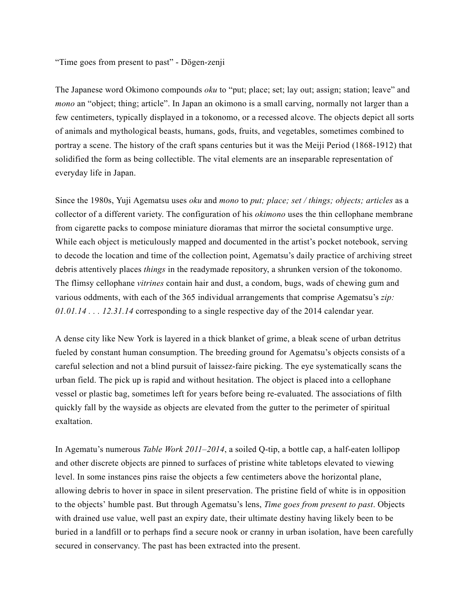"Time goes from present to past" - Dögen-zenji

The Japanese word Okimono compounds *oku* to "put; place; set; lay out; assign; station; leave" and *mono* an "object; thing; article". In Japan an okimono is a small carving, normally not larger than a few centimeters, typically displayed in a tokonomo, or a recessed alcove. The objects depict all sorts of animals and mythological beasts, humans, gods, fruits, and vegetables, sometimes combined to portray a scene. The history of the craft spans centuries but it was the Meiji Period (1868-1912) that solidified the form as being collectible. The vital elements are an inseparable representation of everyday life in Japan.

Since the 1980s, Yuji Agematsu uses *oku* and *mono* to *put; place; set / things; objects; articles* as a collector of a different variety. The configuration of his *okimono* uses the thin cellophane membrane from cigarette packs to compose miniature dioramas that mirror the societal consumptive urge. While each object is meticulously mapped and documented in the artist's pocket notebook, serving to decode the location and time of the collection point, Agematsu's daily practice of archiving street debris attentively places *things* in the readymade repository, a shrunken version of the tokonomo. The flimsy cellophane *vitrines* contain hair and dust, a condom, bugs, wads of chewing gum and various oddments, with each of the 365 individual arrangements that comprise Agematsu's *zip: 01.01.14 . . . 12.31.14* corresponding to a single respective day of the 2014 calendar year.

A dense city like New York is layered in a thick blanket of grime, a bleak scene of urban detritus fueled by constant human consumption. The breeding ground for Agematsu's objects consists of a careful selection and not a blind pursuit of laissez-faire picking. The eye systematically scans the urban field. The pick up is rapid and without hesitation. The object is placed into a cellophane vessel or plastic bag, sometimes left for years before being re-evaluated. The associations of filth quickly fall by the wayside as objects are elevated from the gutter to the perimeter of spiritual exaltation.

In Agematu's numerous *Table Work 2011–2014*, a soiled Q-tip, a bottle cap, a half-eaten lollipop and other discrete objects are pinned to surfaces of pristine white tabletops elevated to viewing level. In some instances pins raise the objects a few centimeters above the horizontal plane, allowing debris to hover in space in silent preservation. The pristine field of white is in opposition to the objects' humble past. But through Agematsu's lens, *Time goes from present to past*. Objects with drained use value, well past an expiry date, their ultimate destiny having likely been to be buried in a landfill or to perhaps find a secure nook or cranny in urban isolation, have been carefully secured in conservancy. The past has been extracted into the present.